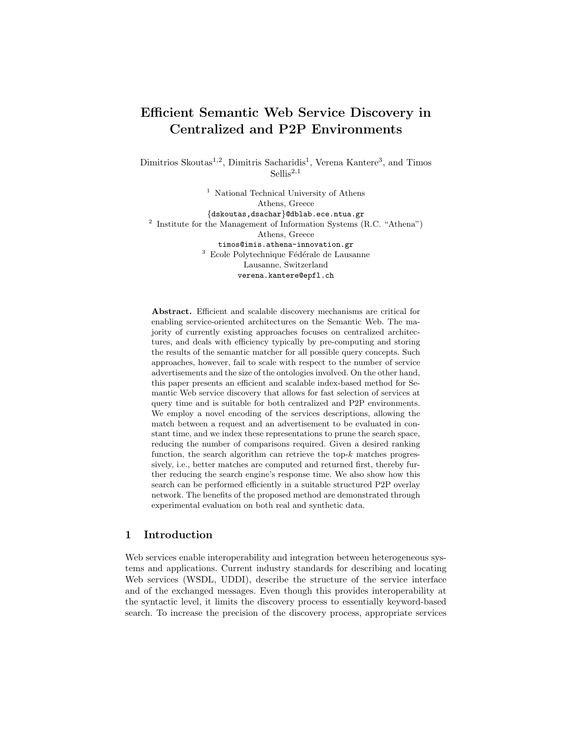# Efficient Semantic Web Service Discovery in Centralized and P2P Environments

Dimitrios Skoutas<sup>1,2</sup>, Dimitris Sacharidis<sup>1</sup>, Verena Kantere<sup>3</sup>, and Timos  $Sellis<sup>2,1</sup>$ 

<sup>1</sup> National Technical University of Athens Athens, Greece {dskoutas,dsachar}@dblab.ece.ntua.gr  $2$  Institute for the Management of Information Systems (R.C. "Athena") Athens, Greece timos@imis.athena-innovation.gr  $^3\,$  Ecole Polytechnique Fédérale de Lausanne Lausanne, Switzerland verena.kantere@epfl.ch

Abstract. Efficient and scalable discovery mechanisms are critical for enabling service-oriented architectures on the Semantic Web. The majority of currently existing approaches focuses on centralized architectures, and deals with efficiency typically by pre-computing and storing the results of the semantic matcher for all possible query concepts. Such approaches, however, fail to scale with respect to the number of service advertisements and the size of the ontologies involved. On the other hand, this paper presents an efficient and scalable index-based method for Semantic Web service discovery that allows for fast selection of services at query time and is suitable for both centralized and P2P environments. We employ a novel encoding of the services descriptions, allowing the match between a request and an advertisement to be evaluated in constant time, and we index these representations to prune the search space, reducing the number of comparisons required. Given a desired ranking function, the search algorithm can retrieve the top- $k$  matches progressively, i.e., better matches are computed and returned first, thereby further reducing the search engine's response time. We also show how this search can be performed efficiently in a suitable structured P2P overlay network. The benefits of the proposed method are demonstrated through experimental evaluation on both real and synthetic data.

## 1 Introduction

Web services enable interoperability and integration between heterogeneous systems and applications. Current industry standards for describing and locating Web services (WSDL, UDDI), describe the structure of the service interface and of the exchanged messages. Even though this provides interoperability at the syntactic level, it limits the discovery process to essentially keyword-based search. To increase the precision of the discovery process, appropriate services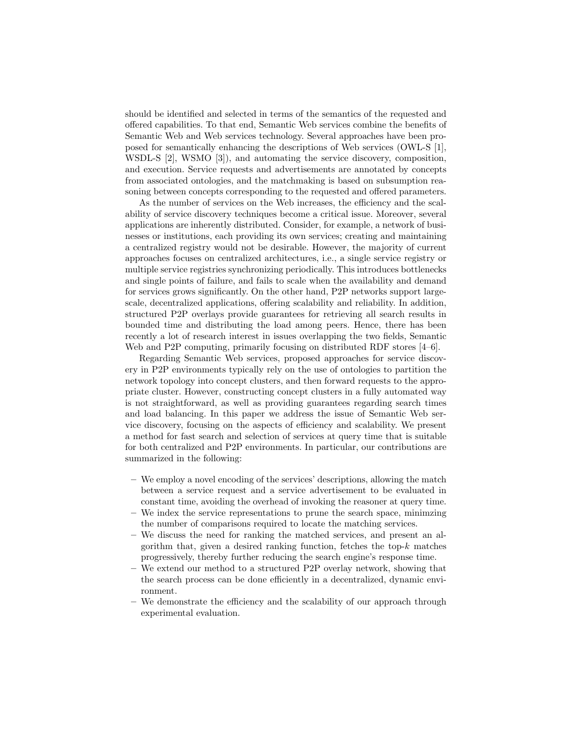should be identified and selected in terms of the semantics of the requested and offered capabilities. To that end, Semantic Web services combine the benefits of Semantic Web and Web services technology. Several approaches have been proposed for semantically enhancing the descriptions of Web services (OWL-S [1], WSDL-S [2], WSMO [3]), and automating the service discovery, composition, and execution. Service requests and advertisements are annotated by concepts from associated ontologies, and the matchmaking is based on subsumption reasoning between concepts corresponding to the requested and offered parameters.

As the number of services on the Web increases, the efficiency and the scalability of service discovery techniques become a critical issue. Moreover, several applications are inherently distributed. Consider, for example, a network of businesses or institutions, each providing its own services; creating and maintaining a centralized registry would not be desirable. However, the majority of current approaches focuses on centralized architectures, i.e., a single service registry or multiple service registries synchronizing periodically. This introduces bottlenecks and single points of failure, and fails to scale when the availability and demand for services grows significantly. On the other hand, P2P networks support largescale, decentralized applications, offering scalability and reliability. In addition, structured P2P overlays provide guarantees for retrieving all search results in bounded time and distributing the load among peers. Hence, there has been recently a lot of research interest in issues overlapping the two fields, Semantic Web and P2P computing, primarily focusing on distributed RDF stores [4–6].

Regarding Semantic Web services, proposed approaches for service discovery in P2P environments typically rely on the use of ontologies to partition the network topology into concept clusters, and then forward requests to the appropriate cluster. However, constructing concept clusters in a fully automated way is not straightforward, as well as providing guarantees regarding search times and load balancing. In this paper we address the issue of Semantic Web service discovery, focusing on the aspects of efficiency and scalability. We present a method for fast search and selection of services at query time that is suitable for both centralized and P2P environments. In particular, our contributions are summarized in the following:

- We employ a novel encoding of the services' descriptions, allowing the match between a service request and a service advertisement to be evaluated in constant time, avoiding the overhead of invoking the reasoner at query time.
- We index the service representations to prune the search space, minimzing the number of comparisons required to locate the matching services.
- We discuss the need for ranking the matched services, and present an algorithm that, given a desired ranking function, fetches the top- $k$  matches progressively, thereby further reducing the search engine's response time.
- We extend our method to a structured P2P overlay network, showing that the search process can be done efficiently in a decentralized, dynamic environment.
- We demonstrate the efficiency and the scalability of our approach through experimental evaluation.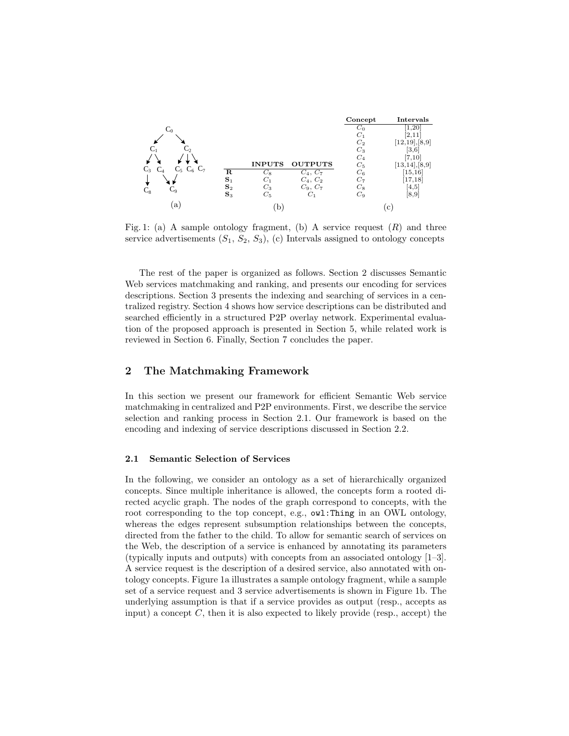

Fig. 1: (a) A sample ontology fragment, (b) A service request  $(R)$  and three service advertisements  $(S_1, S_2, S_3)$ , (c) Intervals assigned to ontology concepts

The rest of the paper is organized as follows. Section 2 discusses Semantic Web services matchmaking and ranking, and presents our encoding for services descriptions. Section 3 presents the indexing and searching of services in a centralized registry. Section 4 shows how service descriptions can be distributed and searched efficiently in a structured P2P overlay network. Experimental evaluation of the proposed approach is presented in Section 5, while related work is reviewed in Section 6. Finally, Section 7 concludes the paper.

# 2 The Matchmaking Framework

In this section we present our framework for efficient Semantic Web service matchmaking in centralized and P2P environments. First, we describe the service selection and ranking process in Section 2.1. Our framework is based on the encoding and indexing of service descriptions discussed in Section 2.2.

## 2.1 Semantic Selection of Services

In the following, we consider an ontology as a set of hierarchically organized concepts. Since multiple inheritance is allowed, the concepts form a rooted directed acyclic graph. The nodes of the graph correspond to concepts, with the root corresponding to the top concept, e.g., owl:Thing in an OWL ontology, whereas the edges represent subsumption relationships between the concepts, directed from the father to the child. To allow for semantic search of services on the Web, the description of a service is enhanced by annotating its parameters (typically inputs and outputs) with concepts from an associated ontology [1–3]. A service request is the description of a desired service, also annotated with ontology concepts. Figure 1a illustrates a sample ontology fragment, while a sample set of a service request and 3 service advertisements is shown in Figure 1b. The underlying assumption is that if a service provides as output (resp., accepts as input) a concept  $C$ , then it is also expected to likely provide (resp., accept) the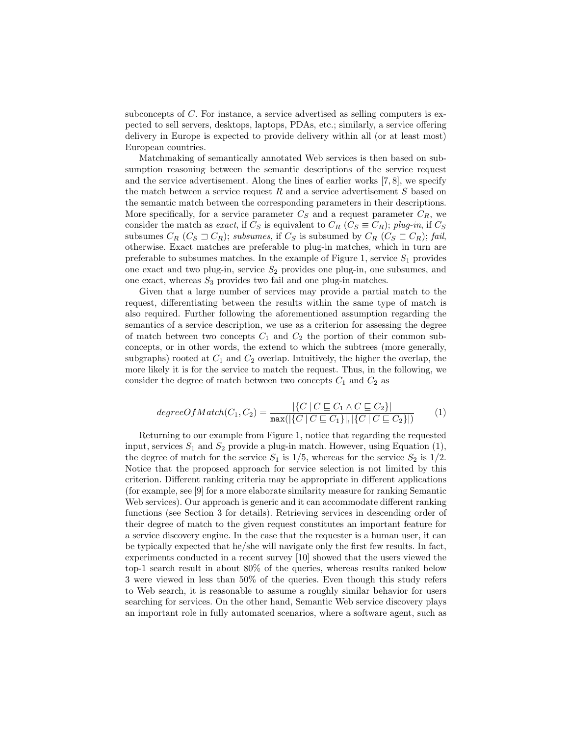subconcepts of C. For instance, a service advertised as selling computers is expected to sell servers, desktops, laptops, PDAs, etc.; similarly, a service offering delivery in Europe is expected to provide delivery within all (or at least most) European countries.

Matchmaking of semantically annotated Web services is then based on subsumption reasoning between the semantic descriptions of the service request and the service advertisement. Along the lines of earlier works [7, 8], we specify the match between a service request  $R$  and a service advertisement  $S$  based on the semantic match between the corresponding parameters in their descriptions. More specifically, for a service parameter  $C_S$  and a request parameter  $C_R$ , we consider the match as exact, if  $C_S$  is equivalent to  $C_R$  ( $C_S \equiv C_R$ ); plug-in, if  $C_S$ subsumes  $C_R$   $(C_S \sqsupset C_R)$ ; subsumes, if  $C_S$  is subsumed by  $C_R$   $(C_S \sqsubset C_R)$ ; fail, otherwise. Exact matches are preferable to plug-in matches, which in turn are preferable to subsumes matches. In the example of Figure 1, service  $S_1$  provides one exact and two plug-in, service  $S_2$  provides one plug-in, one subsumes, and one exact, whereas  $S_3$  provides two fail and one plug-in matches.

Given that a large number of services may provide a partial match to the request, differentiating between the results within the same type of match is also required. Further following the aforementioned assumption regarding the semantics of a service description, we use as a criterion for assessing the degree of match between two concepts  $C_1$  and  $C_2$  the portion of their common subconcepts, or in other words, the extend to which the subtrees (more generally, subgraphs) rooted at  $C_1$  and  $C_2$  overlap. Intuitively, the higher the overlap, the more likely it is for the service to match the request. Thus, in the following, we consider the degree of match between two concepts  $C_1$  and  $C_2$  as

$$
degreeOfMatch(C_1, C_2) = \frac{|\{C \mid C \sqsubseteq C_1 \land C \sqsubseteq C_2\}|}{\max(|\{C \mid C \sqsubseteq C_1\}|, |\{C \mid C \sqsubseteq C_2\}|)} \tag{1}
$$

Returning to our example from Figure 1, notice that regarding the requested input, services  $S_1$  and  $S_2$  provide a plug-in match. However, using Equation (1), the degree of match for the service  $S_1$  is  $1/5$ , whereas for the service  $S_2$  is  $1/2$ . Notice that the proposed approach for service selection is not limited by this criterion. Different ranking criteria may be appropriate in different applications (for example, see [9] for a more elaborate similarity measure for ranking Semantic Web services). Our approach is generic and it can accommodate different ranking functions (see Section 3 for details). Retrieving services in descending order of their degree of match to the given request constitutes an important feature for a service discovery engine. In the case that the requester is a human user, it can be typically expected that he/she will navigate only the first few results. In fact, experiments conducted in a recent survey [10] showed that the users viewed the top-1 search result in about 80% of the queries, whereas results ranked below 3 were viewed in less than 50% of the queries. Even though this study refers to Web search, it is reasonable to assume a roughly similar behavior for users searching for services. On the other hand, Semantic Web service discovery plays an important role in fully automated scenarios, where a software agent, such as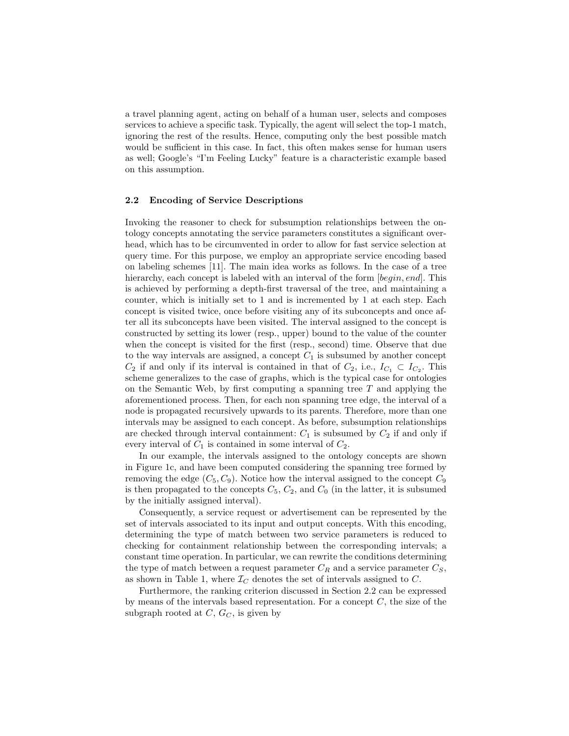a travel planning agent, acting on behalf of a human user, selects and composes services to achieve a specific task. Typically, the agent will select the top-1 match, ignoring the rest of the results. Hence, computing only the best possible match would be sufficient in this case. In fact, this often makes sense for human users as well; Google's "I'm Feeling Lucky" feature is a characteristic example based on this assumption.

#### 2.2 Encoding of Service Descriptions

Invoking the reasoner to check for subsumption relationships between the ontology concepts annotating the service parameters constitutes a significant overhead, which has to be circumvented in order to allow for fast service selection at query time. For this purpose, we employ an appropriate service encoding based on labeling schemes [11]. The main idea works as follows. In the case of a tree hierarchy, each concept is labeled with an interval of the form [begin, end]. This is achieved by performing a depth-first traversal of the tree, and maintaining a counter, which is initially set to 1 and is incremented by 1 at each step. Each concept is visited twice, once before visiting any of its subconcepts and once after all its subconcepts have been visited. The interval assigned to the concept is constructed by setting its lower (resp., upper) bound to the value of the counter when the concept is visited for the first (resp., second) time. Observe that due to the way intervals are assigned, a concept  $C_1$  is subsumed by another concept  $C_2$  if and only if its interval is contained in that of  $C_2$ , i.e.,  $I_{C_1} \subset I_{C_2}$ . This scheme generalizes to the case of graphs, which is the typical case for ontologies on the Semantic Web, by first computing a spanning tree  $T$  and applying the aforementioned process. Then, for each non spanning tree edge, the interval of a node is propagated recursively upwards to its parents. Therefore, more than one intervals may be assigned to each concept. As before, subsumption relationships are checked through interval containment:  $C_1$  is subsumed by  $C_2$  if and only if every interval of  $C_1$  is contained in some interval of  $C_2$ .

In our example, the intervals assigned to the ontology concepts are shown in Figure 1c, and have been computed considering the spanning tree formed by removing the edge  $(C_5, C_9)$ . Notice how the interval assigned to the concept  $C_9$ is then propagated to the concepts  $C_5$ ,  $C_2$ , and  $C_0$  (in the latter, it is subsumed by the initially assigned interval).

Consequently, a service request or advertisement can be represented by the set of intervals associated to its input and output concepts. With this encoding, determining the type of match between two service parameters is reduced to checking for containment relationship between the corresponding intervals; a constant time operation. In particular, we can rewrite the conditions determining the type of match between a request parameter  $C_R$  and a service parameter  $C_S$ , as shown in Table 1, where  $\mathcal{I}_C$  denotes the set of intervals assigned to C.

Furthermore, the ranking criterion discussed in Section 2.2 can be expressed by means of the intervals based representation. For a concept  $C$ , the size of the subgraph rooted at  $C, G_C$ , is given by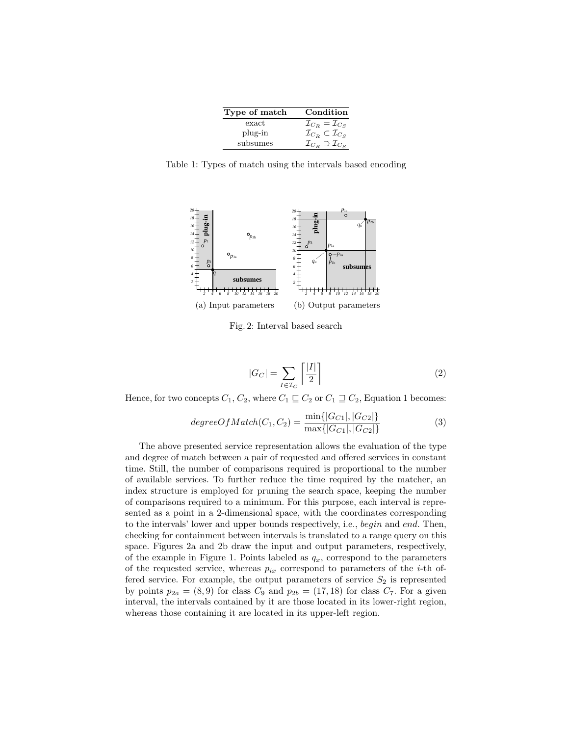| Type of match | Condition                                     |
|---------------|-----------------------------------------------|
| exact         | $\mathcal{I}_{C_R} = \mathcal{I}_{C_S}$       |
| plug-in       | $\mathcal{I}_{C_B} \subset \mathcal{I}_{C_S}$ |
| subsumes      | $\mathcal{I}_{C_B} \supset \mathcal{I}_{C_S}$ |

Table 1: Types of match using the intervals based encoding



Fig. 2: Interval based search

$$
|G_C| = \sum_{I \in \mathcal{I}_C} \left\lceil \frac{|I|}{2} \right\rceil \tag{2}
$$

Hence, for two concepts  $C_1, C_2$ , where  $C_1 \sqsubseteq C_2$  or  $C_1 \sqsupseteq C_2$ , Equation 1 becomes:

$$
degreeOfMatch(C_1, C_2) = \frac{\min\{|G_{C1}|, |G_{C2}|\}}{\max\{|G_{C1}|, |G_{C2}|\}}
$$
(3)

The above presented service representation allows the evaluation of the type and degree of match between a pair of requested and offered services in constant time. Still, the number of comparisons required is proportional to the number of available services. To further reduce the time required by the matcher, an index structure is employed for pruning the search space, keeping the number of comparisons required to a minimum. For this purpose, each interval is represented as a point in a 2-dimensional space, with the coordinates corresponding to the intervals' lower and upper bounds respectively, i.e., begin and end. Then, checking for containment between intervals is translated to a range query on this space. Figures 2a and 2b draw the input and output parameters, respectively, of the example in Figure 1. Points labeled as  $q_x$ , correspond to the parameters of the requested service, whereas  $p_{ix}$  correspond to parameters of the *i*-th offered service. For example, the output parameters of service  $S_2$  is represented by points  $p_{2a} = (8, 9)$  for class  $C_9$  and  $p_{2b} = (17, 18)$  for class  $C_7$ . For a given interval, the intervals contained by it are those located in its lower-right region, whereas those containing it are located in its upper-left region.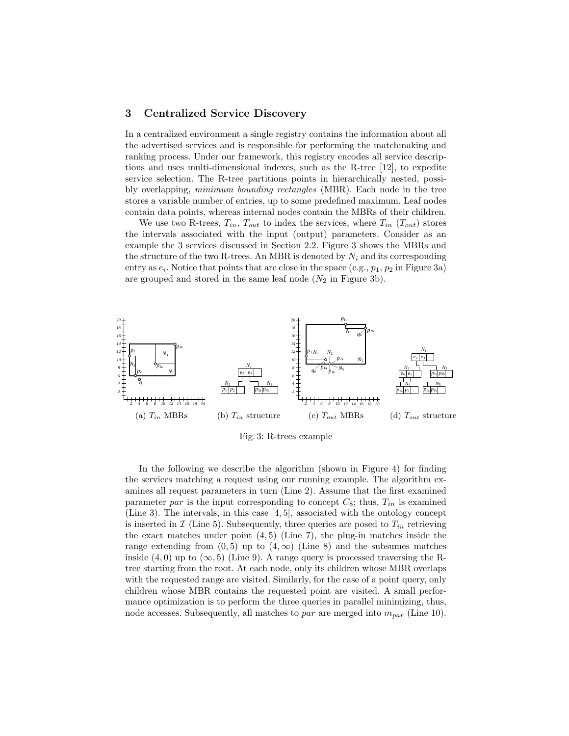## 3 Centralized Service Discovery

In a centralized environment a single registry contains the information about all the advertised services and is responsible for performing the matchmaking and ranking process. Under our framework, this registry encodes all service descriptions and uses multi-dimensional indexes, such as the R-tree [12], to expedite service selection. The R-tree partitions points in hierarchically nested, possibly overlapping, minimum bounding rectangles (MBR). Each node in the tree stores a variable number of entries, up to some predefined maximum. Leaf nodes contain data points, whereas internal nodes contain the MBRs of their children.

We use two R-trees,  $T_{in}$ ,  $T_{out}$  to index the services, where  $T_{in}$  ( $T_{out}$ ) stores the intervals associated with the input (output) parameters. Consider as an example the 3 services discussed in Section 2.2. Figure 3 shows the MBRs and the structure of the two R-trees. An MBR is denoted by  $N_i$  and its corresponding entry as  $e_i$ . Notice that points that are close in the space (e.g.,  $p_1$ ,  $p_2$  in Figure 3a) are grouped and stored in the same leaf node  $(N_2$  in Figure 3b).



Fig. 3: R-trees example

In the following we describe the algorithm (shown in Figure 4) for finding the services matching a request using our running example. The algorithm examines all request parameters in turn (Line 2). Assume that the first examined parameter par is the input corresponding to concept  $C_8$ ; thus,  $T_{in}$  is examined (Line 3). The intervals, in this case [4, 5], associated with the ontology concept is inserted in  $\mathcal I$  (Line 5). Subsequently, three queries are posed to  $T_{in}$  retrieving the exact matches under point  $(4, 5)$  (Line 7), the plug-in matches inside the range extending from  $(0, 5)$  up to  $(4, \infty)$  (Line 8) and the subsumes matches inside (4,0) up to  $(\infty, 5)$  (Line 9). A range query is processed traversing the Rtree starting from the root. At each node, only its children whose MBR overlaps with the requested range are visited. Similarly, for the case of a point query, only children whose MBR contains the requested point are visited. A small performance optimization is to perform the three queries in parallel minimizing, thus, node accesses. Subsequently, all matches to par are merged into  $m_{par}$  (Line 10).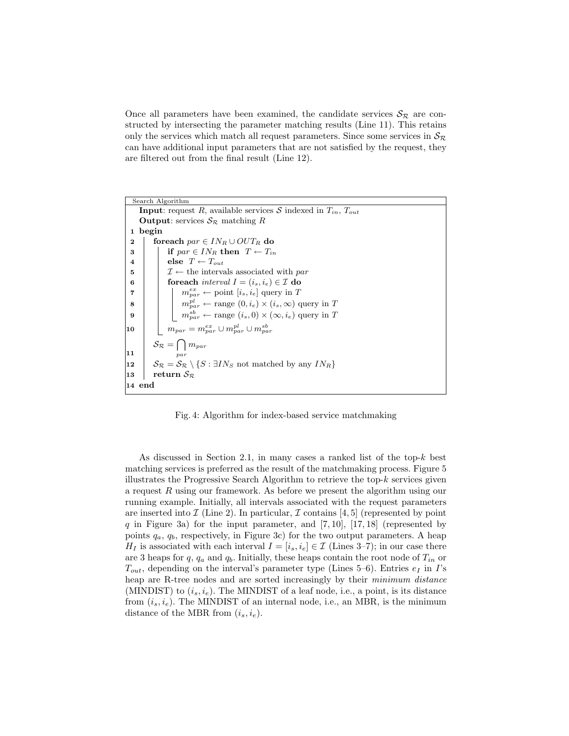Once all parameters have been examined, the candidate services  $S_{\mathcal{R}}$  are constructed by intersecting the parameter matching results (Line 11). This retains only the services which match all request parameters. Since some services in  $\mathcal{S}_{\mathcal{R}}$ can have additional input parameters that are not satisfied by the request, they are filtered out from the final result (Line 12).

Search Algorithm **Input:** request R, available services S indexed in  $T_{in}$ ,  $T_{out}$ **Output:** services  $S_{\mathcal{R}}$  matching R 1 begin 2 foreach  $par \in IN_R \cup OUT_R$  do 3 | if  $par \in IN_R$  then  $T \leftarrow T_{in}$ 4 | else  $T \leftarrow T_{out}$ 5 |  $\mathcal{I} \leftarrow$  the intervals associated with par 6 **for interval**  $I = (i_s, i_e) \in \mathcal{I}$  do 7 | |  $m_{par}^{ex} \leftarrow$  point  $[i_s, i_e]$  query in T 8 | |  $m_{par}^{pl} \leftarrow \text{range}(0, i_e) \times (i_s, \infty)$  query in T 9  $\parallel$   $\parallel$   $m_{par}^{sb} \leftarrow$  range  $(i_s, 0) \times (\infty, i_e)$  query in T  $\begin{array}{|c|c|} \hline \textbf{10} & \quad m_{par}=m_{par}^{ex} \cup m_{par}^{pl} \cup m_{par}^{sb} \ \hline \end{array}$  $\mathcal{S}_{\mathcal{R}} = \bigcap m_{par}$ par 11 12 SR =  $S_{\mathcal{R}}$  \ {S : ∃IN<sub>S</sub> not matched by any IN<sub>R</sub>} |13 | return  $S_{\mathcal{R}}$ 14 end

Fig. 4: Algorithm for index-based service matchmaking

As discussed in Section 2.1, in many cases a ranked list of the top-k best matching services is preferred as the result of the matchmaking process. Figure 5 illustrates the Progressive Search Algorithm to retrieve the top- $k$  services given a request R using our framework. As before we present the algorithm using our running example. Initially, all intervals associated with the request parameters are inserted into  $\mathcal I$  (Line 2). In particular,  $\mathcal I$  contains [4, 5] (represented by point q in Figure 3a) for the input parameter, and  $[7, 10]$ ,  $[17, 18]$  (represented by points  $q_a, q_b$ , respectively, in Figure 3c) for the two output parameters. A heap  $H_I$  is associated with each interval  $I = [i_s, i_e] \in \mathcal{I}$  (Lines 3–7); in our case there are 3 heaps for q,  $q_a$  and  $q_b$ . Initially, these heaps contain the root node of  $T_{in}$  or  $T_{out}$ , depending on the interval's parameter type (Lines 5–6). Entries  $e_I$  in I's heap are R-tree nodes and are sorted increasingly by their minimum distance (MINDIST) to  $(i_s, i_e)$ . The MINDIST of a leaf node, i.e., a point, is its distance from  $(i_s, i_e)$ . The MINDIST of an internal node, i.e., an MBR, is the minimum distance of the MBR from  $(i_s, i_e)$ .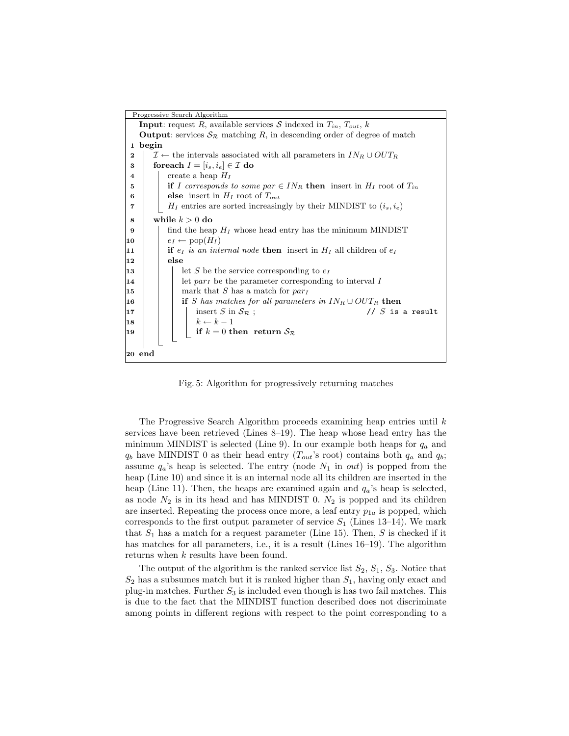| Progressive Search Algorithm                                                                                            |  |  |  |  |  |  |
|-------------------------------------------------------------------------------------------------------------------------|--|--|--|--|--|--|
| <b>Input:</b> request R, available services S indexed in $T_{in}$ , $T_{out}$ , k                                       |  |  |  |  |  |  |
| <b>Output:</b> services $S_{\mathcal{R}}$ matching R, in descending order of degree of match                            |  |  |  |  |  |  |
| 1 begin                                                                                                                 |  |  |  |  |  |  |
| $\mathcal{I} \leftarrow$ the intervals associated with all parameters in $IN_R \cup OUT_R$<br>$\bf{2}$                  |  |  |  |  |  |  |
| foreach $I = [i_s, i_e] \in \mathcal{I}$ do<br>3                                                                        |  |  |  |  |  |  |
| create a heap $H_I$<br>$\overline{\bf 4}$                                                                               |  |  |  |  |  |  |
| if I corresponds to some par $\in IN_R$ then insert in $H_I$ root of $T_{in}$                                           |  |  |  |  |  |  |
| else insert in $H_I$ root of $T_{out}$<br>6                                                                             |  |  |  |  |  |  |
| $H_I$ entries are sorted increasingly by their MINDIST to $(i_s, i_e)$<br>7                                             |  |  |  |  |  |  |
| while $k > 0$ do<br>8                                                                                                   |  |  |  |  |  |  |
| find the heap $H_I$ whose head entry has the minimum MINDIST<br>9                                                       |  |  |  |  |  |  |
| $e_I \leftarrow \text{pop}(H_I)$<br>10                                                                                  |  |  |  |  |  |  |
| <b>if</b> $e_I$ is an internal node <b>then</b> insert in $H_I$ all children of $e_I$<br>11                             |  |  |  |  |  |  |
| else<br>12                                                                                                              |  |  |  |  |  |  |
| let S be the service corresponding to $e_I$<br>13                                                                       |  |  |  |  |  |  |
| let $par_I$ be the parameter corresponding to interval I<br>14                                                          |  |  |  |  |  |  |
| mark that S has a match for $par_I$<br>15                                                                               |  |  |  |  |  |  |
| if S has matches for all parameters in $IN_R \cup OUT_R$ then<br>16                                                     |  |  |  |  |  |  |
| // $S$ is a result<br>insert S in $S_{\mathcal{R}}$ ;<br>17                                                             |  |  |  |  |  |  |
| $\begin{array}{ l} k \leftarrow k-1 \\ \text{if } k=0 \text{ then return } \mathcal{S}_{\mathcal{R}} \end{array}$<br>18 |  |  |  |  |  |  |
| 19                                                                                                                      |  |  |  |  |  |  |
|                                                                                                                         |  |  |  |  |  |  |
| 20 end                                                                                                                  |  |  |  |  |  |  |
|                                                                                                                         |  |  |  |  |  |  |

Fig. 5: Algorithm for progressively returning matches

The Progressive Search Algorithm proceeds examining heap entries until k services have been retrieved (Lines 8–19). The heap whose head entry has the minimum MINDIST is selected (Line 9). In our example both heaps for  $q_a$  and  $q_b$  have MINDIST 0 as their head entry ( $T_{out}$ 's root) contains both  $q_a$  and  $q_b$ ; assume  $q_a$ 's heap is selected. The entry (node  $N_1$  in out) is popped from the heap (Line 10) and since it is an internal node all its children are inserted in the heap (Line 11). Then, the heaps are examined again and  $q_a$ 's heap is selected, as node  $N_2$  is in its head and has MINDIST 0.  $N_2$  is popped and its children are inserted. Repeating the process once more, a leaf entry  $p_{1a}$  is popped, which corresponds to the first output parameter of service  $S_1$  (Lines 13–14). We mark that  $S_1$  has a match for a request parameter (Line 15). Then, S is checked if it has matches for all parameters, i.e., it is a result (Lines 16–19). The algorithm returns when k results have been found.

The output of the algorithm is the ranked service list  $S_2$ ,  $S_1$ ,  $S_3$ . Notice that  $S_2$  has a subsumes match but it is ranked higher than  $S_1$ , having only exact and plug-in matches. Further  $S_3$  is included even though is has two fail matches. This is due to the fact that the MINDIST function described does not discriminate among points in different regions with respect to the point corresponding to a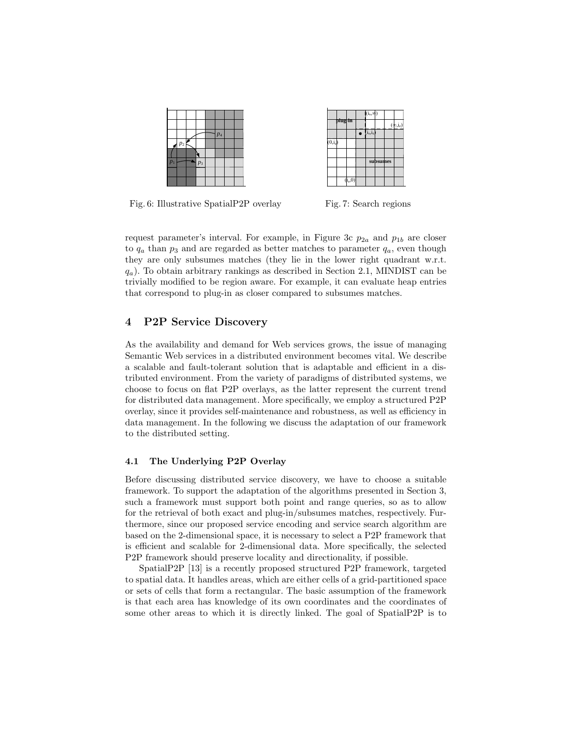|                  |       |       | $p_4$ |  |
|------------------|-------|-------|-------|--|
|                  | $p_2$ |       |       |  |
|                  |       |       |       |  |
| $\overline{p}_1$ |       | $p_3$ |       |  |
|                  |       |       |       |  |
|                  |       |       |       |  |

|                      |                       |  |                                         | $(\phi, i_e)$ |
|----------------------|-----------------------|--|-----------------------------------------|---------------|
|                      |                       |  |                                         |               |
| $\overline{(0,i_e)}$ |                       |  |                                         |               |
|                      |                       |  |                                         |               |
|                      |                       |  |                                         |               |
|                      |                       |  |                                         |               |
|                      |                       |  |                                         |               |
|                      | plug-in<br>$(i_s, 0)$ |  | $(i_s, \phi)$<br>$\bullet$ $(i_s, i_e)$ | subsumes      |

Fig. 6: Illustrative SpatialP2P overlay

Fig. 7: Search regions

request parameter's interval. For example, in Figure 3c  $p_{2a}$  and  $p_{1b}$  are closer to  $q_a$  than  $p_3$  and are regarded as better matches to parameter  $q_a$ , even though they are only subsumes matches (they lie in the lower right quadrant w.r.t.  $q_a$ ). To obtain arbitrary rankings as described in Section 2.1, MINDIST can be trivially modified to be region aware. For example, it can evaluate heap entries that correspond to plug-in as closer compared to subsumes matches.

## 4 P2P Service Discovery

As the availability and demand for Web services grows, the issue of managing Semantic Web services in a distributed environment becomes vital. We describe a scalable and fault-tolerant solution that is adaptable and efficient in a distributed environment. From the variety of paradigms of distributed systems, we choose to focus on flat P2P overlays, as the latter represent the current trend for distributed data management. More specifically, we employ a structured P2P overlay, since it provides self-maintenance and robustness, as well as efficiency in data management. In the following we discuss the adaptation of our framework to the distributed setting.

#### 4.1 The Underlying P2P Overlay

Before discussing distributed service discovery, we have to choose a suitable framework. To support the adaptation of the algorithms presented in Section 3, such a framework must support both point and range queries, so as to allow for the retrieval of both exact and plug-in/subsumes matches, respectively. Furthermore, since our proposed service encoding and service search algorithm are based on the 2-dimensional space, it is necessary to select a P2P framework that is efficient and scalable for 2-dimensional data. More specifically, the selected P2P framework should preserve locality and directionality, if possible.

SpatialP2P [13] is a recently proposed structured P2P framework, targeted to spatial data. It handles areas, which are either cells of a grid-partitioned space or sets of cells that form a rectangular. The basic assumption of the framework is that each area has knowledge of its own coordinates and the coordinates of some other areas to which it is directly linked. The goal of SpatialP2P is to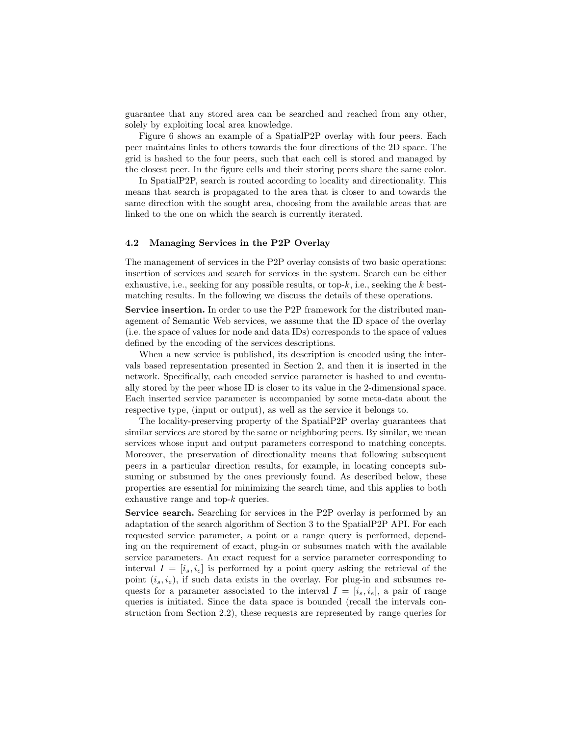guarantee that any stored area can be searched and reached from any other, solely by exploiting local area knowledge.

Figure 6 shows an example of a SpatialP2P overlay with four peers. Each peer maintains links to others towards the four directions of the 2D space. The grid is hashed to the four peers, such that each cell is stored and managed by the closest peer. In the figure cells and their storing peers share the same color.

In SpatialP2P, search is routed according to locality and directionality. This means that search is propagated to the area that is closer to and towards the same direction with the sought area, choosing from the available areas that are linked to the one on which the search is currently iterated.

#### 4.2 Managing Services in the P2P Overlay

The management of services in the P2P overlay consists of two basic operations: insertion of services and search for services in the system. Search can be either exhaustive, i.e., seeking for any possible results, or top- $k$ , i.e., seeking the k bestmatching results. In the following we discuss the details of these operations.

Service insertion. In order to use the P2P framework for the distributed management of Semantic Web services, we assume that the ID space of the overlay (i.e. the space of values for node and data IDs) corresponds to the space of values defined by the encoding of the services descriptions.

When a new service is published, its description is encoded using the intervals based representation presented in Section 2, and then it is inserted in the network. Specifically, each encoded service parameter is hashed to and eventually stored by the peer whose ID is closer to its value in the 2-dimensional space. Each inserted service parameter is accompanied by some meta-data about the respective type, (input or output), as well as the service it belongs to.

The locality-preserving property of the SpatialP2P overlay guarantees that similar services are stored by the same or neighboring peers. By similar, we mean services whose input and output parameters correspond to matching concepts. Moreover, the preservation of directionality means that following subsequent peers in a particular direction results, for example, in locating concepts subsuming or subsumed by the ones previously found. As described below, these properties are essential for minimizing the search time, and this applies to both exhaustive range and top-k queries.

Service search. Searching for services in the P2P overlay is performed by an adaptation of the search algorithm of Section 3 to the SpatialP2P API. For each requested service parameter, a point or a range query is performed, depending on the requirement of exact, plug-in or subsumes match with the available service parameters. An exact request for a service parameter corresponding to interval  $I = [i_s, i_e]$  is performed by a point query asking the retrieval of the point  $(i_s, i_e)$ , if such data exists in the overlay. For plug-in and subsumes requests for a parameter associated to the interval  $I = [i_s, i_e]$ , a pair of range queries is initiated. Since the data space is bounded (recall the intervals construction from Section 2.2), these requests are represented by range queries for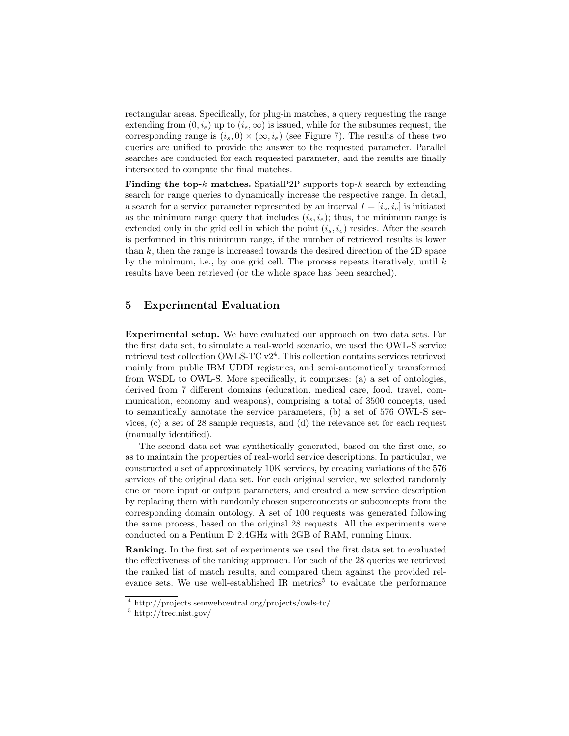rectangular areas. Specifically, for plug-in matches, a query requesting the range extending from  $(0, i_e)$  up to  $(i_s, \infty)$  is issued, while for the subsumes request, the corresponding range is  $(i_s, 0) \times (\infty, i_e)$  (see Figure 7). The results of these two queries are unified to provide the answer to the requested parameter. Parallel searches are conducted for each requested parameter, and the results are finally intersected to compute the final matches.

Finding the top- $k$  matches. Spatial P2P supports top- $k$  search by extending search for range queries to dynamically increase the respective range. In detail, a search for a service parameter represented by an interval  $I = [i_s, i_e]$  is initiated as the minimum range query that includes  $(i_s, i_e)$ ; thus, the minimum range is extended only in the grid cell in which the point  $(i_s, i_e)$  resides. After the search is performed in this minimum range, if the number of retrieved results is lower than  $k$ , then the range is increased towards the desired direction of the 2D space by the minimum, i.e., by one grid cell. The process repeats iteratively, until  $k$ results have been retrieved (or the whole space has been searched).

# 5 Experimental Evaluation

Experimental setup. We have evaluated our approach on two data sets. For the first data set, to simulate a real-world scenario, we used the OWL-S service retrieval test collection OWLS-TC v2<sup>4</sup>. This collection contains services retrieved mainly from public IBM UDDI registries, and semi-automatically transformed from WSDL to OWL-S. More specifically, it comprises: (a) a set of ontologies, derived from 7 different domains (education, medical care, food, travel, communication, economy and weapons), comprising a total of 3500 concepts, used to semantically annotate the service parameters, (b) a set of 576 OWL-S services, (c) a set of 28 sample requests, and (d) the relevance set for each request (manually identified).

The second data set was synthetically generated, based on the first one, so as to maintain the properties of real-world service descriptions. In particular, we constructed a set of approximately 10K services, by creating variations of the 576 services of the original data set. For each original service, we selected randomly one or more input or output parameters, and created a new service description by replacing them with randomly chosen superconcepts or subconcepts from the corresponding domain ontology. A set of 100 requests was generated following the same process, based on the original 28 requests. All the experiments were conducted on a Pentium D 2.4GHz with 2GB of RAM, running Linux.

Ranking. In the first set of experiments we used the first data set to evaluated the effectiveness of the ranking approach. For each of the 28 queries we retrieved the ranked list of match results, and compared them against the provided relevance sets. We use well-established IR metrics<sup>5</sup> to evaluate the performance

<sup>4</sup> http://projects.semwebcentral.org/projects/owls-tc/

<sup>5</sup> http://trec.nist.gov/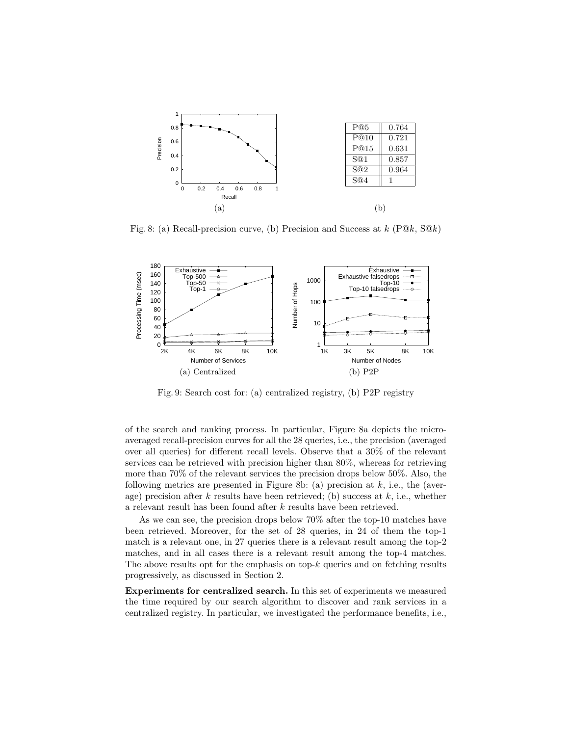

Fig. 8: (a) Recall-precision curve, (b) Precision and Success at  $k$  (P $@k$ , S $@k$ )



Fig. 9: Search cost for: (a) centralized registry, (b) P2P registry

of the search and ranking process. In particular, Figure 8a depicts the microaveraged recall-precision curves for all the 28 queries, i.e., the precision (averaged over all queries) for different recall levels. Observe that a 30% of the relevant services can be retrieved with precision higher than 80%, whereas for retrieving more than 70% of the relevant services the precision drops below 50%. Also, the following metrics are presented in Figure 8b: (a) precision at  $k$ , i.e., the (average) precision after  $k$  results have been retrieved; (b) success at  $k$ , i.e., whether a relevant result has been found after k results have been retrieved.

As we can see, the precision drops below 70% after the top-10 matches have been retrieved. Moreover, for the set of 28 queries, in 24 of them the top-1 match is a relevant one, in 27 queries there is a relevant result among the top-2 matches, and in all cases there is a relevant result among the top-4 matches. The above results opt for the emphasis on top- $k$  queries and on fetching results progressively, as discussed in Section 2.

Experiments for centralized search. In this set of experiments we measured the time required by our search algorithm to discover and rank services in a centralized registry. In particular, we investigated the performance benefits, i.e.,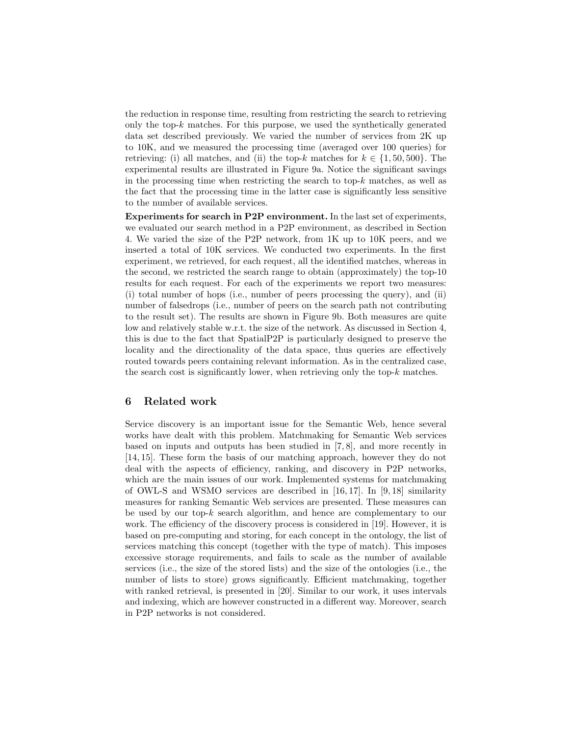the reduction in response time, resulting from restricting the search to retrieving only the top-k matches. For this purpose, we used the synthetically generated data set described previously. We varied the number of services from 2K up to 10K, and we measured the processing time (averaged over 100 queries) for retrieving: (i) all matches, and (ii) the top-k matches for  $k \in \{1, 50, 500\}$ . The experimental results are illustrated in Figure 9a. Notice the significant savings in the processing time when restricting the search to top- $k$  matches, as well as the fact that the processing time in the latter case is significantly less sensitive to the number of available services.

Experiments for search in P2P environment. In the last set of experiments, we evaluated our search method in a P2P environment, as described in Section 4. We varied the size of the P2P network, from 1K up to 10K peers, and we inserted a total of 10K services. We conducted two experiments. In the first experiment, we retrieved, for each request, all the identified matches, whereas in the second, we restricted the search range to obtain (approximately) the top-10 results for each request. For each of the experiments we report two measures: (i) total number of hops (i.e., number of peers processing the query), and (ii) number of falsedrops (i.e., number of peers on the search path not contributing to the result set). The results are shown in Figure 9b. Both measures are quite low and relatively stable w.r.t. the size of the network. As discussed in Section 4, this is due to the fact that SpatialP2P is particularly designed to preserve the locality and the directionality of the data space, thus queries are effectively routed towards peers containing relevant information. As in the centralized case, the search cost is significantly lower, when retrieving only the top- $k$  matches.

# 6 Related work

Service discovery is an important issue for the Semantic Web, hence several works have dealt with this problem. Matchmaking for Semantic Web services based on inputs and outputs has been studied in [7, 8], and more recently in [14, 15]. These form the basis of our matching approach, however they do not deal with the aspects of efficiency, ranking, and discovery in P2P networks, which are the main issues of our work. Implemented systems for matchmaking of OWL-S and WSMO services are described in  $[16, 17]$ . In [9, 18] similarity measures for ranking Semantic Web services are presented. These measures can be used by our top- $k$  search algorithm, and hence are complementary to our work. The efficiency of the discovery process is considered in [19]. However, it is based on pre-computing and storing, for each concept in the ontology, the list of services matching this concept (together with the type of match). This imposes excessive storage requirements, and fails to scale as the number of available services (i.e., the size of the stored lists) and the size of the ontologies (i.e., the number of lists to store) grows significantly. Efficient matchmaking, together with ranked retrieval, is presented in [20]. Similar to our work, it uses intervals and indexing, which are however constructed in a different way. Moreover, search in P2P networks is not considered.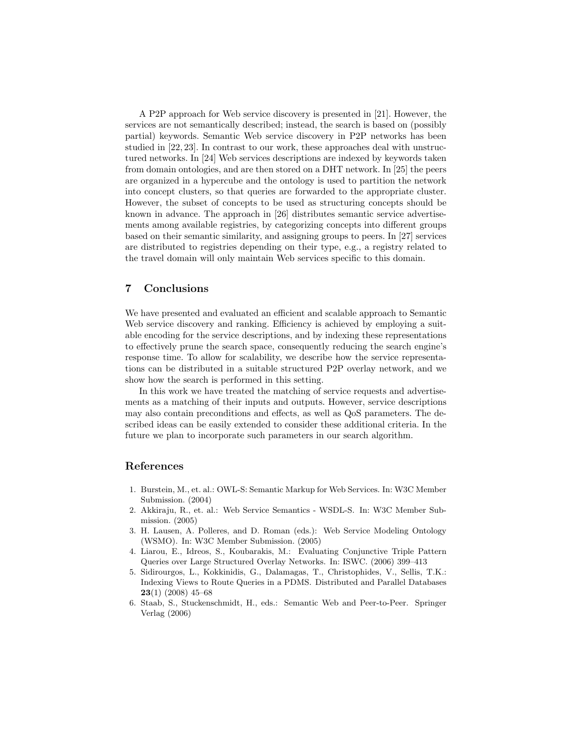A P2P approach for Web service discovery is presented in [21]. However, the services are not semantically described; instead, the search is based on (possibly partial) keywords. Semantic Web service discovery in P2P networks has been studied in [22, 23]. In contrast to our work, these approaches deal with unstructured networks. In [24] Web services descriptions are indexed by keywords taken from domain ontologies, and are then stored on a DHT network. In [25] the peers are organized in a hypercube and the ontology is used to partition the network into concept clusters, so that queries are forwarded to the appropriate cluster. However, the subset of concepts to be used as structuring concepts should be known in advance. The approach in [26] distributes semantic service advertisements among available registries, by categorizing concepts into different groups based on their semantic similarity, and assigning groups to peers. In [27] services are distributed to registries depending on their type, e.g., a registry related to the travel domain will only maintain Web services specific to this domain.

# 7 Conclusions

We have presented and evaluated an efficient and scalable approach to Semantic Web service discovery and ranking. Efficiency is achieved by employing a suitable encoding for the service descriptions, and by indexing these representations to effectively prune the search space, consequently reducing the search engine's response time. To allow for scalability, we describe how the service representations can be distributed in a suitable structured P2P overlay network, and we show how the search is performed in this setting.

In this work we have treated the matching of service requests and advertisements as a matching of their inputs and outputs. However, service descriptions may also contain preconditions and effects, as well as QoS parameters. The described ideas can be easily extended to consider these additional criteria. In the future we plan to incorporate such parameters in our search algorithm.

### References

- 1. Burstein, M., et. al.: OWL-S: Semantic Markup for Web Services. In: W3C Member Submission. (2004)
- 2. Akkiraju, R., et. al.: Web Service Semantics WSDL-S. In: W3C Member Submission. (2005)
- 3. H. Lausen, A. Polleres, and D. Roman (eds.): Web Service Modeling Ontology (WSMO). In: W3C Member Submission. (2005)
- 4. Liarou, E., Idreos, S., Koubarakis, M.: Evaluating Conjunctive Triple Pattern Queries over Large Structured Overlay Networks. In: ISWC. (2006) 399–413
- 5. Sidirourgos, L., Kokkinidis, G., Dalamagas, T., Christophides, V., Sellis, T.K.: Indexing Views to Route Queries in a PDMS. Distributed and Parallel Databases  $23(1)$  (2008) 45–68
- 6. Staab, S., Stuckenschmidt, H., eds.: Semantic Web and Peer-to-Peer. Springer Verlag (2006)